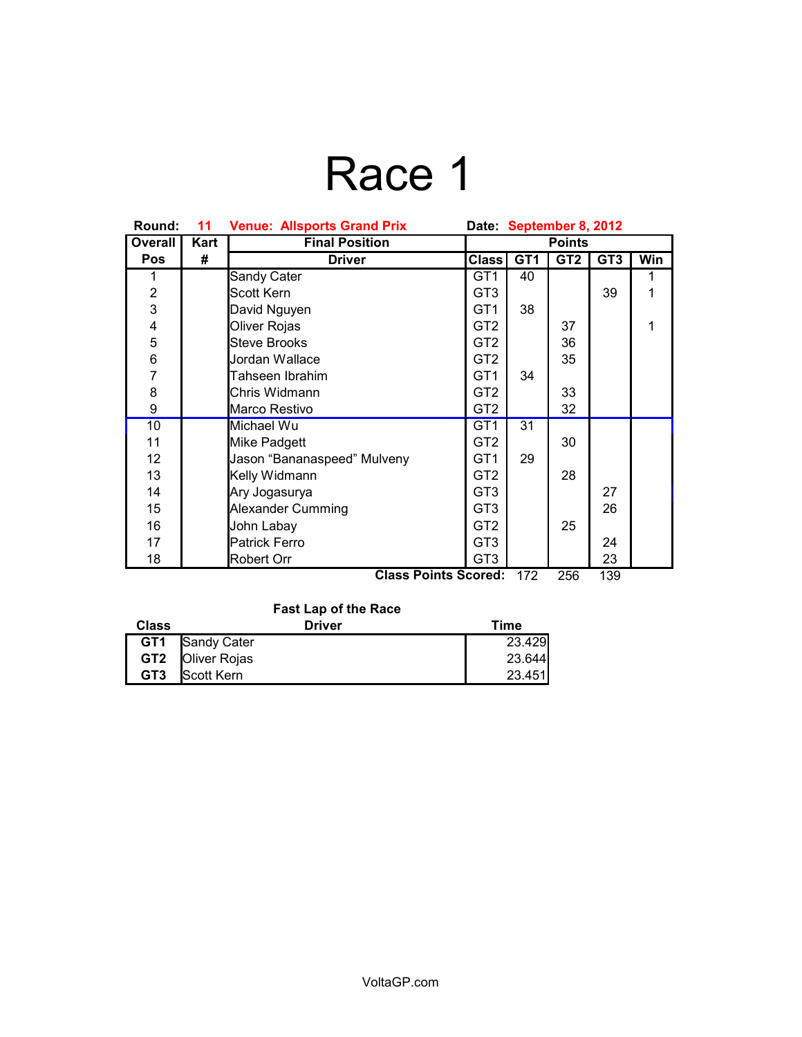# Race 1

| Round:                                           | 11   | <b>Venue: Allsports Grand Prix</b> | Date September 8, 2012 |                 |                 |                 |            |
|--------------------------------------------------|------|------------------------------------|------------------------|-----------------|-----------------|-----------------|------------|
| <b>Overall</b>                                   | Kart | <b>Final Position</b>              | <b>Points</b>          |                 |                 |                 |            |
| Pos                                              | #    | <b>Driver</b>                      | Class <sup> </sup>     | GT <sub>1</sub> | GT <sub>2</sub> | GT <sub>3</sub> | <b>Win</b> |
| 1                                                |      | Sandy Cater                        | GT <sub>1</sub>        | 40              |                 |                 | 1          |
| $\overline{\mathbf{c}}$                          |      | Scott Kern                         | GT <sub>3</sub>        |                 |                 | 39              | 1          |
| $\overline{3}$                                   |      | David Nguyen                       | GT <sub>1</sub>        | 38              |                 |                 |            |
| $\overline{\mathbf{4}}$                          |      | Oliver Rojas                       | GT <sub>2</sub>        |                 | 37              |                 | 1          |
| 5                                                |      | <b>Steve Brooks</b>                | GT <sub>2</sub>        |                 | 36              |                 |            |
| 6                                                |      | Jordan Wallace                     | GT <sub>2</sub>        |                 | 35              |                 |            |
| $\overline{7}$                                   |      | Tahseen Ibrahim                    | GT <sub>1</sub>        | 34              |                 |                 |            |
| 8                                                |      | Chris Widmann                      | GT <sub>2</sub>        |                 | 33              |                 |            |
| 9                                                |      | Marco Restivo                      | GT <sub>2</sub>        |                 | 32              |                 |            |
| 10                                               |      | Michael Wu                         | GT <sub>1</sub>        | 31              |                 |                 |            |
| 11                                               |      | Mike Padgett                       | GT <sub>2</sub>        |                 | 30              |                 |            |
| 12                                               |      | Jason "Bananaspeed" Mulveny        | GT <sub>1</sub>        | 29              |                 |                 |            |
| 13                                               |      | Kelly Widmann                      | GT <sub>2</sub>        |                 | 28              |                 |            |
| 14                                               |      | Ary Jogasurya                      | GT <sub>3</sub>        |                 |                 | 27              |            |
| 15                                               |      | <b>Alexander Cumming</b>           | GT <sub>3</sub>        |                 |                 | 26              |            |
| 16                                               |      | John Labay                         | GT <sub>2</sub>        |                 | 25              |                 |            |
| 17                                               |      | <b>Patrick Ferro</b>               | GT <sub>3</sub>        |                 |                 | 24              |            |
| 18                                               |      | <b>Robert Orr</b>                  | GT <sub>3</sub>        |                 |                 | 23              |            |
| <b>Class Points Scored:</b><br>172<br>256<br>139 |      |                                    |                        |                 |                 |                 |            |

**Fast Lap of the Race**

| Class           | <b>Driver</b>           | Time   |  |  |
|-----------------|-------------------------|--------|--|--|
|                 | <b>GT1</b> Sandy Cater  | 23.429 |  |  |
|                 | GT2 <b>Oliver Rojas</b> | 23.644 |  |  |
| GT <sub>3</sub> | Scott Kern              | 23.451 |  |  |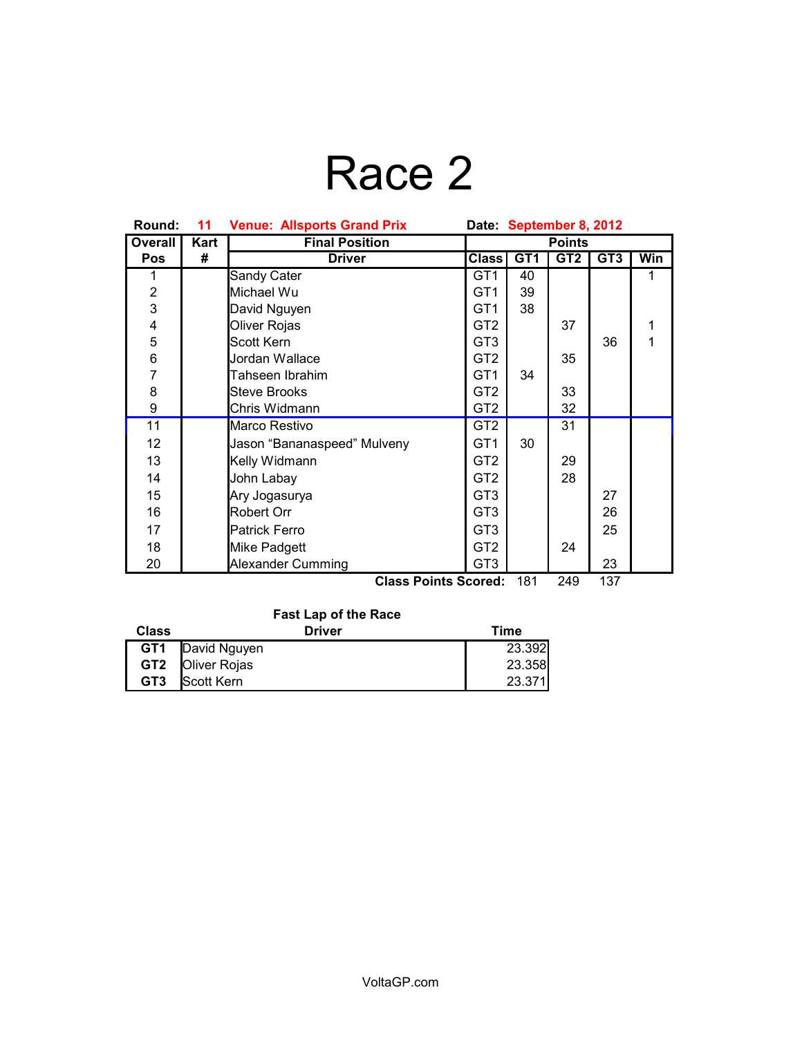# Race 2

| Round:          | 11   | <b>Venue: Allsports Grand Prix</b> | Date September 8, 2012 |                 |                 |                 |     |
|-----------------|------|------------------------------------|------------------------|-----------------|-----------------|-----------------|-----|
| <b>Overall</b>  | Kart | <b>Final Position</b>              | <b>Points</b>          |                 |                 |                 |     |
| <b>Pos</b>      | #    | <b>Driver</b>                      | <b>Class</b>           | GT <sub>1</sub> | GT <sub>2</sub> | GT <sub>3</sub> | Win |
| 1               |      | Sandy Cater                        | GT1                    | 40              |                 |                 | 1   |
| $\overline{2}$  |      | Michael Wu                         | GT <sub>1</sub>        | 39              |                 |                 |     |
| 3               |      | David Nguyen                       | GT <sub>1</sub>        | 38              |                 |                 |     |
| 4               |      | Oliver Rojas                       | GT <sub>2</sub>        |                 | 37              |                 | 1   |
| 5               |      | Scott Kern                         | GT <sub>3</sub>        |                 |                 | 36              | 1   |
| $\, 6$          |      | Jordan Wallace                     | GT <sub>2</sub>        |                 | 35              |                 |     |
| $\overline{7}$  |      | Tahseen Ibrahim                    | GT <sub>1</sub>        | 34              |                 |                 |     |
| 8               |      | <b>Steve Brooks</b>                | GT <sub>2</sub>        |                 | 33              |                 |     |
| 9               |      | Chris Widmann                      | GT <sub>2</sub>        |                 | 32              |                 |     |
| 11              |      | Marco Restivo                      | GT <sub>2</sub>        |                 | 31              |                 |     |
| 12 <sup>2</sup> |      | Jason "Bananaspeed" Mulveny        | GT <sub>1</sub>        | 30              |                 |                 |     |
| 13              |      | Kelly Widmann                      | GT <sub>2</sub>        |                 | 29              |                 |     |
| 14              |      | John Labay                         | GT <sub>2</sub>        |                 | 28              |                 |     |
| 15              |      | Ary Jogasurya                      | GT <sub>3</sub>        |                 |                 | 27              |     |
| 16              |      | Robert Orr                         | GT <sub>3</sub>        |                 |                 | 26              |     |
| 17              |      | Patrick Ferro                      | GT <sub>3</sub>        |                 |                 | 25              |     |
| 18              |      | Mike Padgett                       | GT <sub>2</sub>        |                 | 24              |                 |     |
| 20              |      | <b>Alexander Cumming</b>           | GT <sub>3</sub>        |                 |                 | 23              |     |

**Class Points Scored:** 181 249 137

## **Fast Lap of the Race**

| Class           | <b>Driver</b>           | Time   |
|-----------------|-------------------------|--------|
| GT1             | David Nguyen            | 23.392 |
|                 | <b>GT2 Oliver Rojas</b> | 23.358 |
| GT <sub>3</sub> | <b>Scott Kern</b>       | 23.371 |